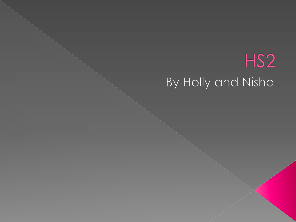## HS<sub>2</sub> By Holly and Nisha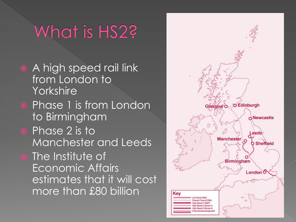## What is HS2?

- **A high speed rail link** from London to **Yorkshire**
- **Phase 1 is from London** to Birmingham
- **•** Phase 2 is to Manchester and Leeds
- $\bullet$  The Institute of Economic Affairs estimates that it will cost more than £80 billion

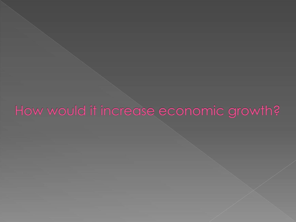## How would it increase economic growth?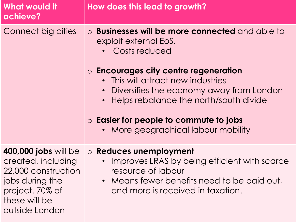| <b>What would it</b><br>achieve?                                                                                                           | How does this lead to growth?                                                                                                                                                                                                                                                                                                                                          |
|--------------------------------------------------------------------------------------------------------------------------------------------|------------------------------------------------------------------------------------------------------------------------------------------------------------------------------------------------------------------------------------------------------------------------------------------------------------------------------------------------------------------------|
| Connect big cities                                                                                                                         | o Businesses will be more connected and able to<br>exploit external EoS.<br>Costs reduced<br>$\circ$ Encourages city centre regeneration<br>• This will attract new industries<br>Diversifies the economy away from London<br>$\bullet$<br>Helps rebalance the north/south divide<br>$\circ$ Easier for people to commute to jobs<br>More geographical labour mobility |
| 400,000 jobs will be<br>created, including<br>22,000 construction<br>jobs during the<br>project. 70% of<br>these will be<br>outside London | ○ Reduces unemployment<br>Improves LRAS by being efficient with scarce<br>resource of labour<br>• Means fewer benefits need to be paid out,<br>and more is received in taxation.                                                                                                                                                                                       |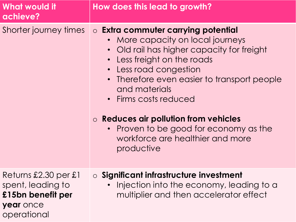| <b>What would it</b><br>achieve?                                                           | How does this lead to growth?                                                                                                                                                                                                                                                                                                                                                                                                         |
|--------------------------------------------------------------------------------------------|---------------------------------------------------------------------------------------------------------------------------------------------------------------------------------------------------------------------------------------------------------------------------------------------------------------------------------------------------------------------------------------------------------------------------------------|
| Shorter journey times                                                                      | <b>O Extra commuter carrying potential</b><br>• More capacity on local journeys<br>• Old rail has higher capacity for freight<br>• Less freight on the roads<br>• Less road congestion<br>Therefore even easier to transport people<br>$\bullet$<br>and materials<br>• Firms costs reduced<br>$\circ$ Reduces air pollution from vehicles<br>• Proven to be good for economy as the<br>workforce are healthier and more<br>productive |
| Returns £2.30 per £1<br>spent, leading to<br>£15bn benefit per<br>year once<br>operational | <b>O</b> Significant infrastructure investment<br>Injection into the economy, leading to a<br>multiplier and then accelerator effect                                                                                                                                                                                                                                                                                                  |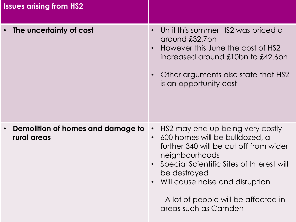| <b>Issues arising from HS2</b>                                |                                                                                                                                                                                                                                                                                                                           |
|---------------------------------------------------------------|---------------------------------------------------------------------------------------------------------------------------------------------------------------------------------------------------------------------------------------------------------------------------------------------------------------------------|
| The uncertainty of cost                                       | Until this summer HS2 was priced at<br>around £32.7bn<br>However this June the cost of HS2<br>increased around £10bn to £42.6bn<br>Other arguments also state that HS2<br><u>is an opportunity cost</u>                                                                                                                   |
| Demolition of homes and damage to<br>$\bullet$<br>rural areas | HS2 may end up being very costly<br>$\bullet$<br>600 homes will be bulldozed, a<br>$\bullet$<br>further 340 will be cut off from wider<br>neighbourhoods<br>Special Scientific Sites of Interest will<br>be destroyed<br>Will cause noise and disruption<br>- A lot of people will be affected in<br>areas such as Camden |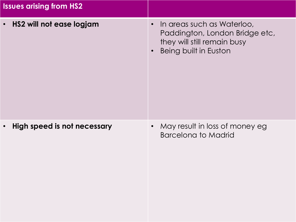| <b>Issues arising from HS2</b>           |                                                                                                                                                       |
|------------------------------------------|-------------------------------------------------------------------------------------------------------------------------------------------------------|
| HS2 will not ease logjam<br>$\bullet$    | In areas such as Waterloo,<br>$\bullet$<br>Paddington, London Bridge etc,<br>they will still remain busy<br><b>Being built in Euston</b><br>$\bullet$ |
| High speed is not necessary<br>$\bullet$ | May result in loss of money eg<br><b>Barcelona to Madrid</b>                                                                                          |